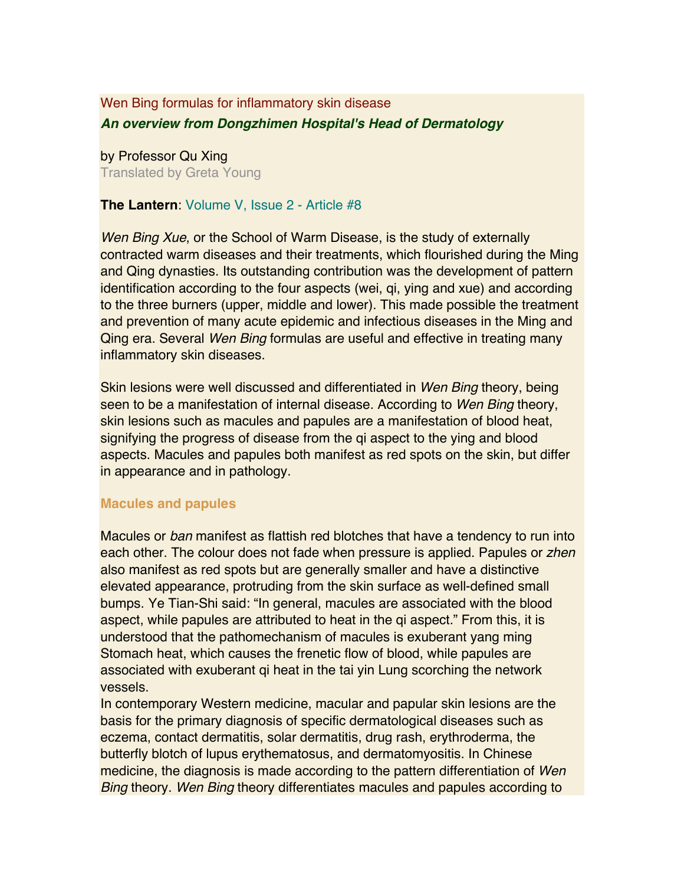# Wen Bing formulas for inflammatory skin disease *An overview from Dongzhimen Hospital's Head of Dermatology*

by Professor Qu Xing Translated by Greta Young

## **The Lantern**: Volume V, Issue 2 - Article #8

*Wen Bing Xue*, or the School of Warm Disease, is the study of externally contracted warm diseases and their treatments, which flourished during the Ming and Qing dynasties. Its outstanding contribution was the development of pattern identification according to the four aspects (wei, qi, ying and xue) and according to the three burners (upper, middle and lower). This made possible the treatment and prevention of many acute epidemic and infectious diseases in the Ming and Qing era. Several *Wen Bing* formulas are useful and effective in treating many inflammatory skin diseases.

Skin lesions were well discussed and differentiated in *Wen Bing* theory, being seen to be a manifestation of internal disease. According to *Wen Bing* theory, skin lesions such as macules and papules are a manifestation of blood heat, signifying the progress of disease from the qi aspect to the ying and blood aspects. Macules and papules both manifest as red spots on the skin, but differ in appearance and in pathology.

## **Macules and papules**

Macules or *ban* manifest as flattish red blotches that have a tendency to run into each other. The colour does not fade when pressure is applied. Papules or *zhen* also manifest as red spots but are generally smaller and have a distinctive elevated appearance, protruding from the skin surface as well-defined small bumps. Ye Tian-Shi said: "In general, macules are associated with the blood aspect, while papules are attributed to heat in the qi aspect." From this, it is understood that the pathomechanism of macules is exuberant yang ming Stomach heat, which causes the frenetic flow of blood, while papules are associated with exuberant qi heat in the tai yin Lung scorching the network vessels.

In contemporary Western medicine, macular and papular skin lesions are the basis for the primary diagnosis of specific dermatological diseases such as eczema, contact dermatitis, solar dermatitis, drug rash, erythroderma, the butterfly blotch of lupus erythematosus, and dermatomyositis. In Chinese medicine, the diagnosis is made according to the pattern differentiation of *Wen Bing* theory. *Wen Bing* theory differentiates macules and papules according to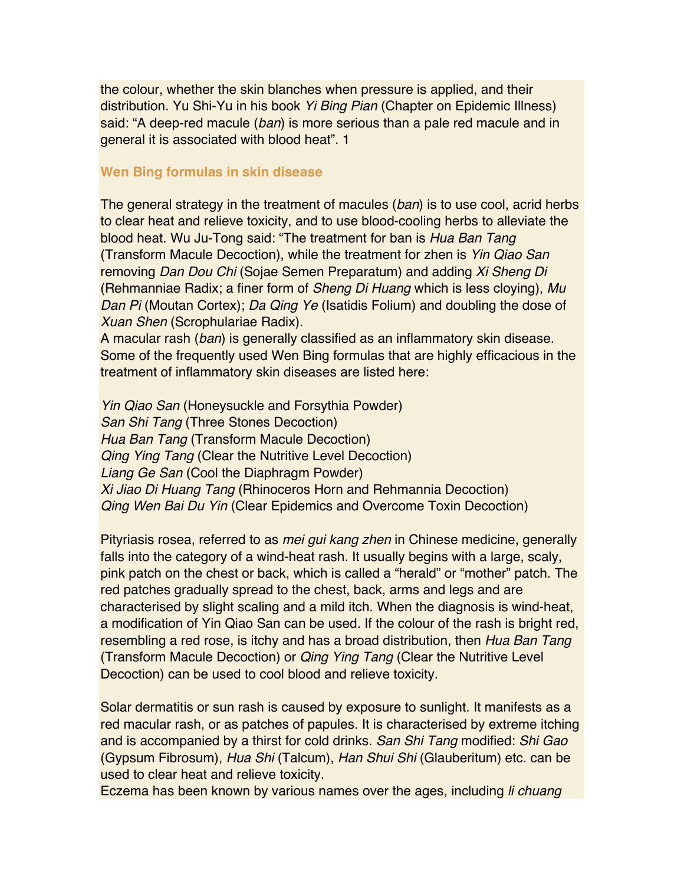the colour, whether the skin blanches when pressure is applied, and their distribution. Yu Shi-Yu in his book *Yi Bing Pian* (Chapter on Epidemic Illness) said: "A deep-red macule (*ban*) is more serious than a pale red macule and in general it is associated with blood heat". 1

#### **Wen Bing formulas in skin disease**

The general strategy in the treatment of macules (*ban*) is to use cool, acrid herbs to clear heat and relieve toxicity, and to use blood-cooling herbs to alleviate the blood heat. Wu Ju-Tong said: "The treatment for ban is *Hua Ban Tang*  (Transform Macule Decoction), while the treatment for zhen is *Yin Qiao San* removing *Dan Dou Chi* (Sojae Semen Preparatum) and adding *Xi Sheng Di*  (Rehmanniae Radix; a finer form of *Sheng Di Huang* which is less cloying), *Mu Dan Pi* (Moutan Cortex); *Da Qing Ye* (Isatidis Folium) and doubling the dose of *Xuan Shen* (Scrophulariae Radix).

A macular rash (*ban*) is generally classified as an inflammatory skin disease. Some of the frequently used Wen Bing formulas that are highly efficacious in the treatment of inflammatory skin diseases are listed here:

*Yin Qiao San* (Honeysuckle and Forsythia Powder) *San Shi Tang* (Three Stones Decoction) *Hua Ban Tang* (Transform Macule Decoction) *Qing Ying Tang* (Clear the Nutritive Level Decoction) *Liang Ge San* (Cool the Diaphragm Powder) *Xi Jiao Di Huang Tang* (Rhinoceros Horn and Rehmannia Decoction) *Qing Wen Bai Du Yin* (Clear Epidemics and Overcome Toxin Decoction)

Pityriasis rosea, referred to as *mei gui kang zhen* in Chinese medicine, generally falls into the category of a wind-heat rash. It usually begins with a large, scaly, pink patch on the chest or back, which is called a "herald" or "mother" patch. The red patches gradually spread to the chest, back, arms and legs and are characterised by slight scaling and a mild itch. When the diagnosis is wind-heat, a modification of Yin Qiao San can be used. If the colour of the rash is bright red, resembling a red rose, is itchy and has a broad distribution, then *Hua Ban Tang* (Transform Macule Decoction) or *Qing Ying Tang* (Clear the Nutritive Level Decoction) can be used to cool blood and relieve toxicity.

Solar dermatitis or sun rash is caused by exposure to sunlight. It manifests as a red macular rash, or as patches of papules. It is characterised by extreme itching and is accompanied by a thirst for cold drinks. *San Shi Tang* modified: *Shi Gao* (Gypsum Fibrosum), *Hua Shi* (Talcum), *Han Shui Shi* (Glauberitum) etc. can be used to clear heat and relieve toxicity.

Eczema has been known by various names over the ages, including *li chuang*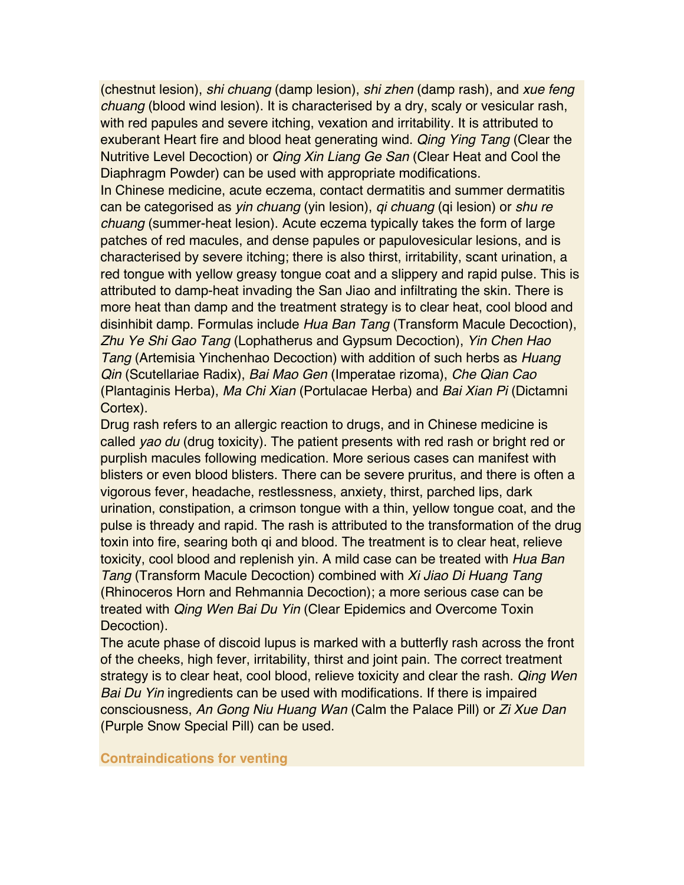(chestnut lesion), *shi chuang* (damp lesion), *shi zhen* (damp rash), and *xue feng chuang* (blood wind lesion). It is characterised by a dry, scaly or vesicular rash, with red papules and severe itching, vexation and irritability. It is attributed to exuberant Heart fire and blood heat generating wind. *Qing Ying Tang* (Clear the Nutritive Level Decoction) or *Qing Xin Liang Ge San* (Clear Heat and Cool the Diaphragm Powder) can be used with appropriate modifications.

In Chinese medicine, acute eczema, contact dermatitis and summer dermatitis can be categorised as *yin chuang* (yin lesion), *qi chuang* (qi lesion) or *shu re chuang* (summer-heat lesion). Acute eczema typically takes the form of large patches of red macules, and dense papules or papulovesicular lesions, and is characterised by severe itching; there is also thirst, irritability, scant urination, a red tongue with yellow greasy tongue coat and a slippery and rapid pulse. This is attributed to damp-heat invading the San Jiao and infiltrating the skin. There is more heat than damp and the treatment strategy is to clear heat, cool blood and disinhibit damp. Formulas include *Hua Ban Tang* (Transform Macule Decoction), *Zhu Ye Shi Gao Tang* (Lophatherus and Gypsum Decoction), *Yin Chen Hao Tang* (Artemisia Yinchenhao Decoction) with addition of such herbs as *Huang Qin* (Scutellariae Radix), *Bai Mao Gen* (Imperatae rizoma), *Che Qian Cao* (Plantaginis Herba), *Ma Chi Xian* (Portulacae Herba) and *Bai Xian Pi* (Dictamni Cortex).

Drug rash refers to an allergic reaction to drugs, and in Chinese medicine is called *yao du* (drug toxicity). The patient presents with red rash or bright red or purplish macules following medication. More serious cases can manifest with blisters or even blood blisters. There can be severe pruritus, and there is often a vigorous fever, headache, restlessness, anxiety, thirst, parched lips, dark urination, constipation, a crimson tongue with a thin, yellow tongue coat, and the pulse is thready and rapid. The rash is attributed to the transformation of the drug toxin into fire, searing both qi and blood. The treatment is to clear heat, relieve toxicity, cool blood and replenish yin. A mild case can be treated with *Hua Ban Tang* (Transform Macule Decoction) combined with *Xi Jiao Di Huang Tang* (Rhinoceros Horn and Rehmannia Decoction); a more serious case can be treated with *Qing Wen Bai Du Yin* (Clear Epidemics and Overcome Toxin Decoction).

The acute phase of discoid lupus is marked with a butterfly rash across the front of the cheeks, high fever, irritability, thirst and joint pain. The correct treatment strategy is to clear heat, cool blood, relieve toxicity and clear the rash. *Qing Wen Bai Du Yin* ingredients can be used with modifications. If there is impaired consciousness, *An Gong Niu Huang Wan* (Calm the Palace Pill) or *Zi Xue Dan* (Purple Snow Special Pill) can be used.

#### **Contraindications for venting**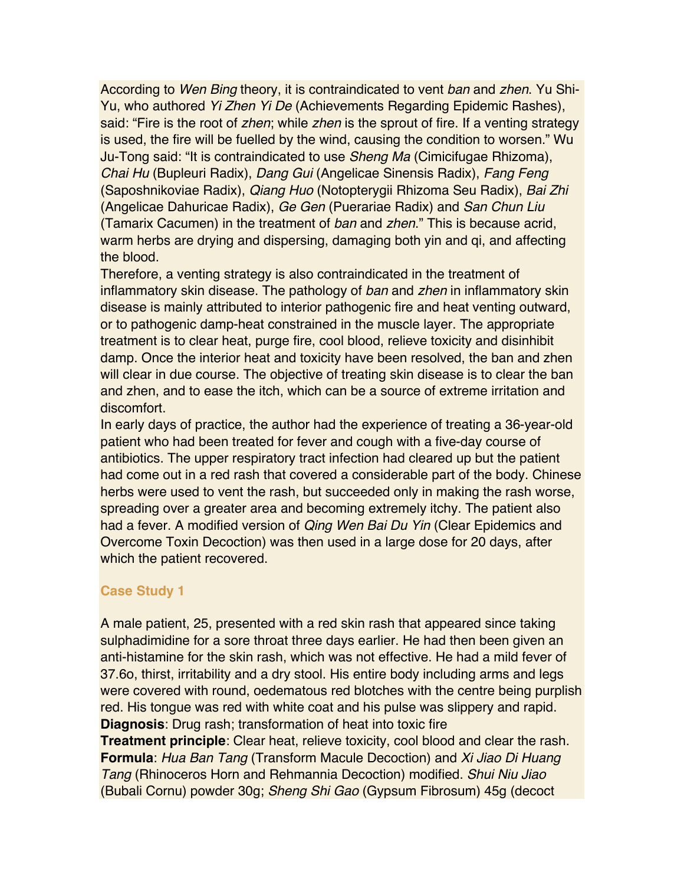According to *Wen Bing* theory, it is contraindicated to vent *ban* and *zhen*. Yu Shi-Yu, who authored *Yi Zhen Yi De* (Achievements Regarding Epidemic Rashes), said: "Fire is the root of *zhen*; while *zhen* is the sprout of fire. If a venting strategy is used, the fire will be fuelled by the wind, causing the condition to worsen." Wu Ju-Tong said: "It is contraindicated to use *Sheng Ma* (Cimicifugae Rhizoma), *Chai Hu* (Bupleuri Radix), *Dang Gui* (Angelicae Sinensis Radix), *Fang Feng* (Saposhnikoviae Radix), *Qiang Huo* (Notopterygii Rhizoma Seu Radix), *Bai Zhi* (Angelicae Dahuricae Radix), *Ge Gen* (Puerariae Radix) and *San Chun Liu* (Tamarix Cacumen) in the treatment of *ban* and *zhen*." This is because acrid, warm herbs are drying and dispersing, damaging both yin and gi, and affecting the blood.

Therefore, a venting strategy is also contraindicated in the treatment of inflammatory skin disease. The pathology of *ban* and *zhen* in inflammatory skin disease is mainly attributed to interior pathogenic fire and heat venting outward, or to pathogenic damp-heat constrained in the muscle layer. The appropriate treatment is to clear heat, purge fire, cool blood, relieve toxicity and disinhibit damp. Once the interior heat and toxicity have been resolved, the ban and zhen will clear in due course. The objective of treating skin disease is to clear the ban and zhen, and to ease the itch, which can be a source of extreme irritation and discomfort.

In early days of practice, the author had the experience of treating a 36-year-old patient who had been treated for fever and cough with a five-day course of antibiotics. The upper respiratory tract infection had cleared up but the patient had come out in a red rash that covered a considerable part of the body. Chinese herbs were used to vent the rash, but succeeded only in making the rash worse, spreading over a greater area and becoming extremely itchy. The patient also had a fever. A modified version of *Qing Wen Bai Du Yin* (Clear Epidemics and Overcome Toxin Decoction) was then used in a large dose for 20 days, after which the patient recovered.

## **Case Study 1**

A male patient, 25, presented with a red skin rash that appeared since taking sulphadimidine for a sore throat three days earlier. He had then been given an anti-histamine for the skin rash, which was not effective. He had a mild fever of 37.6o, thirst, irritability and a dry stool. His entire body including arms and legs were covered with round, oedematous red blotches with the centre being purplish red. His tongue was red with white coat and his pulse was slippery and rapid. **Diagnosis**: Drug rash; transformation of heat into toxic fire **Treatment principle**: Clear heat, relieve toxicity, cool blood and clear the rash.

**Formula**: *Hua Ban Tang* (Transform Macule Decoction) and *Xi Jiao Di Huang Tang* (Rhinoceros Horn and Rehmannia Decoction) modified. *Shui Niu Jiao* (Bubali Cornu) powder 30g; *Sheng Shi Gao* (Gypsum Fibrosum) 45g (decoct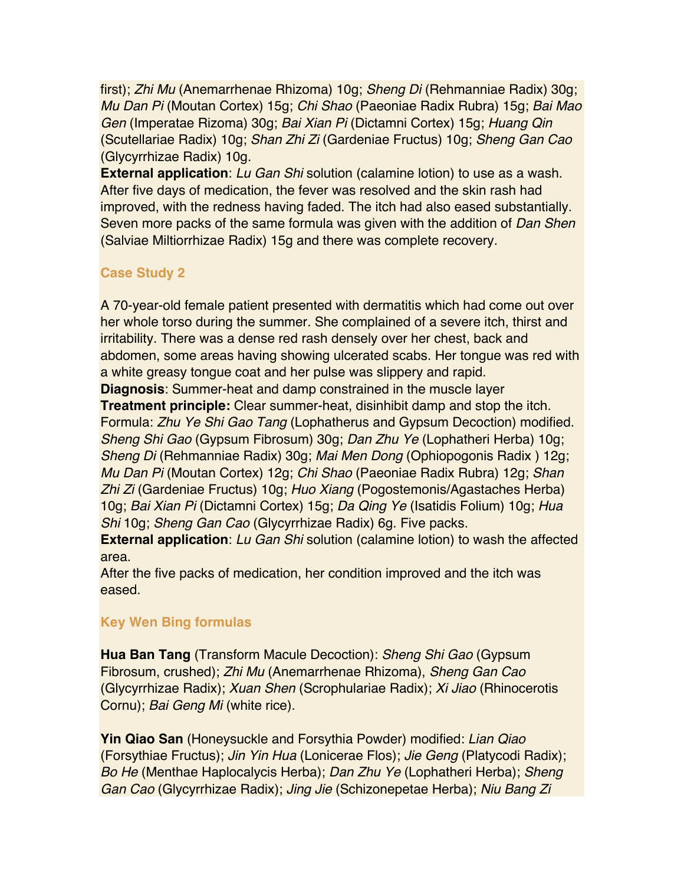first); *Zhi Mu* (Anemarrhenae Rhizoma) 10g; *Sheng Di* (Rehmanniae Radix) 30g; *Mu Dan Pi* (Moutan Cortex) 15g; *Chi Shao* (Paeoniae Radix Rubra) 15g; *Bai Mao Gen* (Imperatae Rizoma) 30g; *Bai Xian Pi* (Dictamni Cortex) 15g; *Huang Qin* (Scutellariae Radix) 10g; *Shan Zhi Zi* (Gardeniae Fructus) 10g; *Sheng Gan Cao* (Glycyrrhizae Radix) 10g.

**External application**: *Lu Gan Shi* solution (calamine lotion) to use as a wash. After five days of medication, the fever was resolved and the skin rash had improved, with the redness having faded. The itch had also eased substantially. Seven more packs of the same formula was given with the addition of *Dan Shen* (Salviae Miltiorrhizae Radix) 15g and there was complete recovery.

## **Case Study 2**

A 70-year-old female patient presented with dermatitis which had come out over her whole torso during the summer. She complained of a severe itch, thirst and irritability. There was a dense red rash densely over her chest, back and abdomen, some areas having showing ulcerated scabs. Her tongue was red with a white greasy tongue coat and her pulse was slippery and rapid.

**Diagnosis**: Summer-heat and damp constrained in the muscle layer

**Treatment principle:** Clear summer-heat, disinhibit damp and stop the itch. Formula: *Zhu Ye Shi Gao Tang* (Lophatherus and Gypsum Decoction) modified. *Sheng Shi Gao* (Gypsum Fibrosum) 30g; *Dan Zhu Ye* (Lophatheri Herba) 10g; *Sheng Di* (Rehmanniae Radix) 30g; *Mai Men Dong* (Ophiopogonis Radix ) 12g; *Mu Dan Pi* (Moutan Cortex) 12g; *Chi Shao* (Paeoniae Radix Rubra) 12g; *Shan Zhi Zi* (Gardeniae Fructus) 10g; *Huo Xiang* (Pogostemonis/Agastaches Herba) 10g; *Bai Xian Pi* (Dictamni Cortex) 15g; *Da Qing Ye* (Isatidis Folium) 10g; *Hua Shi* 10g; *Sheng Gan Cao* (Glycyrrhizae Radix) 6g. Five packs.

**External application**: *Lu Gan Shi* solution (calamine lotion) to wash the affected area.

After the five packs of medication, her condition improved and the itch was eased.

# **Key Wen Bing formulas**

**Hua Ban Tang** (Transform Macule Decoction): *Sheng Shi Gao* (Gypsum Fibrosum, crushed); *Zhi Mu* (Anemarrhenae Rhizoma), *Sheng Gan Cao* (Glycyrrhizae Radix); *Xuan Shen* (Scrophulariae Radix); *Xi Jiao* (Rhinocerotis Cornu); *Bai Geng Mi* (white rice).

**Yin Qiao San** (Honeysuckle and Forsythia Powder) modified: *Lian Qiao* (Forsythiae Fructus); *Jin Yin Hua* (Lonicerae Flos); *Jie Geng* (Platycodi Radix); *Bo He* (Menthae Haplocalycis Herba); *Dan Zhu Ye* (Lophatheri Herba); *Sheng Gan Cao* (Glycyrrhizae Radix); *Jing Jie* (Schizonepetae Herba); *Niu Bang Zi*